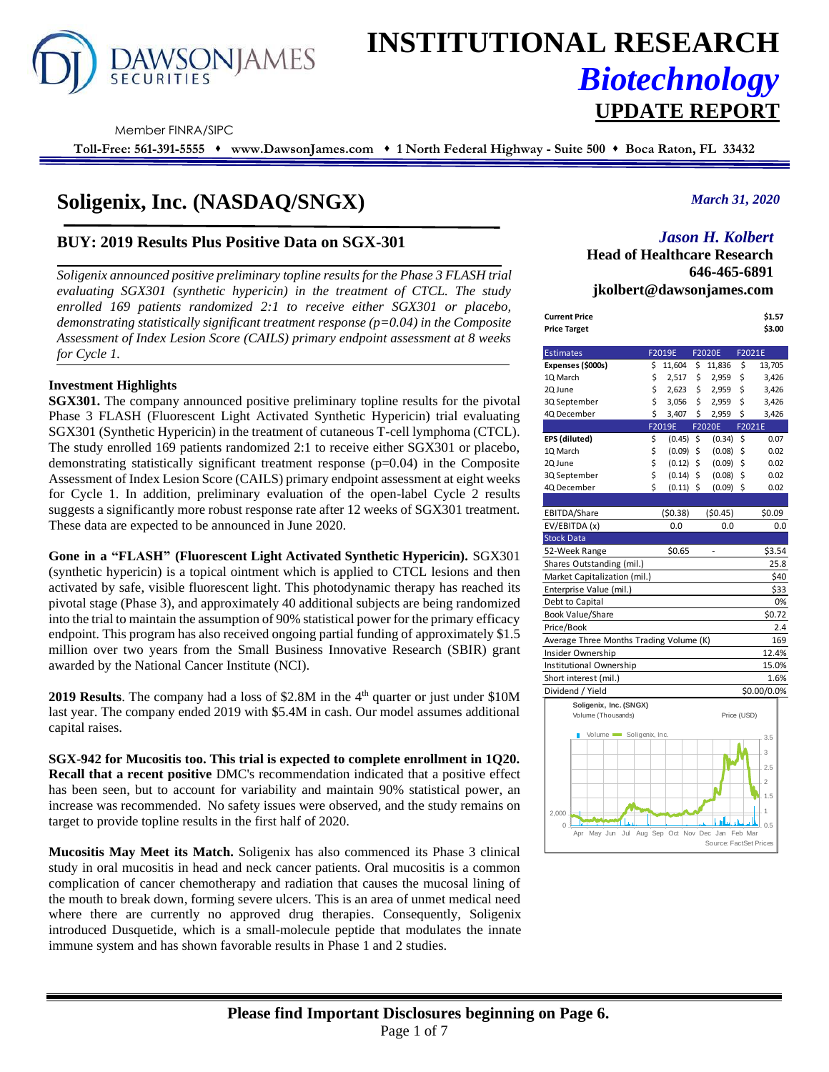

# **INSTITUTIONAL RESEARCH** *Biotechnology* **UPDATE REPORT**

Member FINRA/SIPC

**Toll-Free: 561-391-5555** ⬧ **www.DawsonJames.com** ⬧ **1 North Federal Highway - Suite 500** ⬧ **Boca Raton, FL 33432**

## **Soligenix, Inc. (NASDAQ/SNGX)**

#### **BUY: 2019 Results Plus Positive Data on SGX-301**

*Soligenix announced positive preliminary topline results for the Phase 3 FLASH trial evaluating SGX301 (synthetic hypericin) in the treatment of CTCL. The study enrolled 169 patients randomized 2:1 to receive either SGX301 or placebo, demonstrating statistically significant treatment response (p=0.04) in the Composite Assessment of Index Lesion Score (CAILS) primary endpoint assessment at 8 weeks for Cycle 1.*

#### **Investment Highlights**

**SGX301.** The company announced positive preliminary topline results for the pivotal Phase 3 FLASH (Fluorescent Light Activated Synthetic Hypericin) trial evaluating SGX301 (Synthetic Hypericin) in the treatment of cutaneous T-cell lymphoma (CTCL). The study enrolled 169 patients randomized 2:1 to receive either SGX301 or placebo, demonstrating statistically significant treatment response (p=0.04) in the Composite Assessment of Index Lesion Score (CAILS) primary endpoint assessment at eight weeks for Cycle 1. In addition, preliminary evaluation of the open-label Cycle 2 results suggests a significantly more robust response rate after 12 weeks of SGX301 treatment. These data are expected to be announced in June 2020.

**Gone in a "FLASH" (Fluorescent Light Activated Synthetic Hypericin).** SGX301 (synthetic hypericin) is a topical ointment which is applied to CTCL lesions and then activated by safe, visible fluorescent light. This photodynamic therapy has reached its pivotal stage (Phase 3), and approximately 40 additional subjects are being randomized into the trial to maintain the assumption of 90% statistical power for the primary efficacy endpoint. This program has also received ongoing partial funding of approximately \$1.5 million over two years from the Small Business Innovative Research (SBIR) grant awarded by the National Cancer Institute (NCI).

2019 Results. The company had a loss of \$2.8M in the 4<sup>th</sup> quarter or just under \$10M last year. The company ended 2019 with \$5.4M in cash. Our model assumes additional capital raises.

**SGX-942 for Mucositis too. This trial is expected to complete enrollment in 1Q20. Recall that a recent positive** DMC's recommendation indicated that a positive effect has been seen, but to account for variability and maintain 90% statistical power, an increase was recommended. No safety issues were observed, and the study remains on target to provide topline results in the first half of 2020.

**Mucositis May Meet its Match.** Soligenix has also commenced its Phase 3 clinical study in oral mucositis in head and neck cancer patients. Oral mucositis is a common complication of cancer chemotherapy and radiation that causes the mucosal lining of the mouth to break down, forming severe ulcers. This is an area of unmet medical need where there are currently no approved drug therapies. Consequently, Soligenix introduced Dusquetide, which is a small-molecule peptide that modulates the innate immune system and has shown favorable results in Phase 1 and 2 studies.

#### *March 31, 2020*

### *Jason H. Kolbert*

**Head of Healthcare Research 646-465-6891 jkolbert@dawsonjames.com**

| Current Price | \$1.57 |
|---------------|--------|
| Price Target  | \$3.00 |

| <b>Estimates</b>                        |    | F2019E                          | <b>F2020E</b>          | F2021E      |                |
|-----------------------------------------|----|---------------------------------|------------------------|-------------|----------------|
| Expenses (\$000s)                       | \$ | 11,604                          | \$<br>11,836           | \$          | 13,705         |
| 1Q March                                | \$ | 2,517                           | \$<br>2,959            | \$          | 3,426          |
| 2Q June                                 | \$ | 2,623                           | \$<br>2,959            | \$          | 3,426          |
| 3Q September                            | \$ | 3,056                           | \$<br>2,959            | \$          | 3,426          |
| 4Q December                             | \$ | 3,407                           | \$<br>2,959            | \$          | 3,426          |
|                                         |    | F2019E                          | <b>F2020E</b>          | F2021E      |                |
| EPS (diluted)                           | \$ | (0.45)                          | \$<br>(0.34)           | \$          | 0.07           |
| 1Q March                                | \$ | (0.09)                          | \$<br>(0.08)           | \$          | 0.02           |
| 2Q June                                 | \$ | (0.12)                          | \$<br>(0.09)           | \$          | 0.02           |
| 3Q September                            | \$ | (0.14)                          | \$<br>(0.08)           | \$          | 0.02           |
| 4Q December                             | Ś  | $(0.11)$ \$                     | (0.09)                 | Ś           | 0.02           |
|                                         |    |                                 |                        |             |                |
| EBITDA/Share                            |    | (50.38)                         | (50.45)                |             | \$0.09         |
| EV/EBITDA (x)                           |    | 0.0                             | 0.0                    |             | 0.0            |
| <b>Stock Data</b>                       |    |                                 |                        |             |                |
| 52-Week Range                           |    | \$0.65                          |                        |             | \$3.54         |
| Shares Outstanding (mil.)               |    |                                 |                        |             | 25.8           |
| Market Capitalization (mil.)            |    |                                 |                        |             | \$40           |
| Enterprise Value (mil.)                 |    |                                 |                        |             | \$33           |
| Debt to Capital                         |    |                                 |                        |             | 0%             |
| Book Value/Share                        |    |                                 |                        |             | \$0.72         |
| Price/Book                              |    |                                 |                        |             | 2.4            |
| Average Three Months Trading Volume (K) |    |                                 |                        |             | 169            |
| Insider Ownership                       |    |                                 |                        |             | 12.4%          |
| Institutional Ownership                 |    |                                 |                        |             | 15.0%          |
| Short interest (mil.)                   |    |                                 |                        |             | 1.6%           |
| Dividend / Yield                        |    |                                 |                        |             | \$0.00/0.0%    |
| Soligenix, Inc. (SNGX)                  |    |                                 |                        |             |                |
| Volume (Thousands)                      |    |                                 |                        | Price (USD) |                |
| Volume Soligenix, Inc.                  |    |                                 |                        |             |                |
|                                         |    |                                 |                        |             | 3.5            |
|                                         |    |                                 |                        |             | 3              |
|                                         |    |                                 |                        |             | 2.5            |
|                                         |    |                                 |                        |             | $\overline{2}$ |
|                                         |    |                                 |                        |             | 1.5            |
|                                         |    |                                 |                        |             | 1              |
| 2,000                                   |    |                                 |                        |             |                |
| $\Omega$ .<br>May Jun<br>Jul<br>Apr     |    | Aug Sep Oct Nov Dec Jan Feb Mar |                        |             | 0.5            |
|                                         |    |                                 | Source: FactSet Prices |             |                |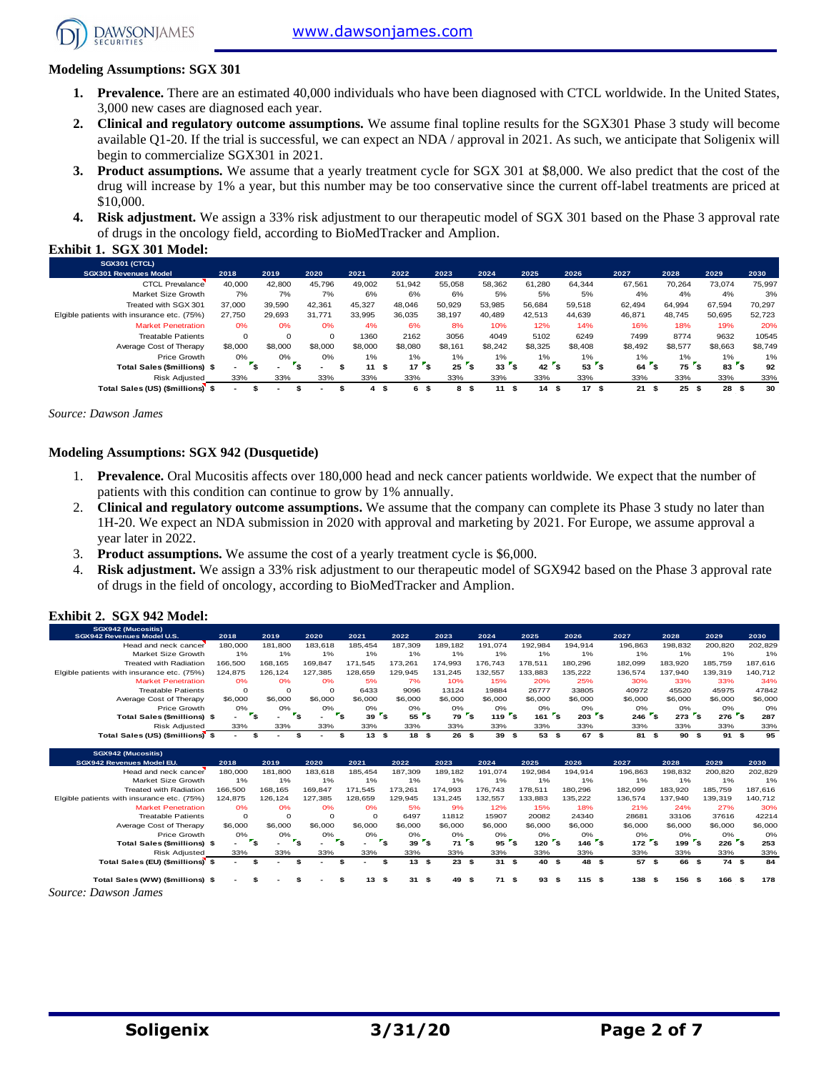[www.dawsonjames.com](http://www.dawsonjames.com/)



**Exhibit 1. SGX 301 Model:** 

#### **Modeling Assumptions: SGX 301**

- **1. Prevalence.** There are an estimated 40,000 individuals who have been diagnosed with CTCL worldwide. In the United States, 3,000 new cases are diagnosed each year.
- **2. Clinical and regulatory outcome assumptions.** We assume final topline results for the SGX301 Phase 3 study will become available Q1-20. If the trial is successful, we can expect an NDA / approval in 2021. As such, we anticipate that Soligenix will begin to commercialize SGX301 in 2021.
- **3. Product assumptions.** We assume that a yearly treatment cycle for SGX 301 at \$8,000. We also predict that the cost of the drug will increase by 1% a year, but this number may be too conservative since the current off-label treatments are priced at \$10,000.
- **4. Risk adjustment.** We assign a 33% risk adjustment to our therapeutic model of SGX 301 based on the Phase 3 approval rate of drugs in the oncology field, according to BioMedTracker and Amplion.

| SGX301 (CTCL)                              |          |             |          |         |                  |         |          |         |            |            |            |            |         |
|--------------------------------------------|----------|-------------|----------|---------|------------------|---------|----------|---------|------------|------------|------------|------------|---------|
| <b>SGX301 Revenues Model</b>               | 2018     | 2019        | 2020     | 2021    | 2022             | 2023    | 2024     | 2025    | 2026       | 2027       | 2028       | 2029       | 2030    |
| <b>CTCL Prevalance</b>                     | 40,000   | 42,800      | 45.796   | 49,002  | 51,942           | 55,058  | 58,362   | 61,280  | 64.344     | 67,561     | 70.264     | 73.074     | 75,997  |
| Market Size Growth                         | 7%       | 7%          | 7%       | 6%      | 6%               | 6%      | 5%       | 5%      | 5%         | 4%         | 4%         | 4%         | 3%      |
| Treated with SGX 301                       | 37,000   | 39,590      | 42.361   | 45.327  | 48.046           | 50,929  | 53.985   | 56.684  | 59.518     | 62.494     | 64.994     | 67.594     | 70,297  |
| Elgible patients with insurance etc. (75%) | 27.750   | 29.693      | 31.771   | 33.995  | 36.035           | 38,197  | 40.489   | 42.513  | 44.639     | 46,871     | 48.745     | 50,695     | 52,723  |
| <b>Market Penetration</b>                  | 0%       | 0%          | 0%       | 4%      | 6%               | 8%      | 10%      | 12%     | 14%        | 16%        | 18%        | 19%        | 20%     |
| <b>Treatable Patients</b>                  | $\Omega$ | $\mathbf 0$ | $\Omega$ | 1360    | 2162             | 3056    | 4049     | 5102    | 6249       | 7499       | 8774       | 9632       | 10545   |
| Average Cost of Therapy                    | \$8,000  | \$8,000     | \$8,000  | \$8,000 | \$8,080          | \$8.161 | \$8.242  | \$8.325 | \$8,408    | \$8,492    | \$8,577    | \$8,663    | \$8,749 |
| Price Growth                               | 0%       | 0%          | 0%       | 1%      | 1%               | 1%      | 1%       | 1%      | $1\%$      | 1%         | $1\%$      | 1%         | 1%      |
| <b>Total Sales (\$millions) \$</b>         | $\sim$   | ÷           |          | 11      | 17<br>ŝ.<br>- 55 | 25      | 33<br>э. | 42      | ' \$<br>53 | 64         | 75<br>۵.   | 83         | 92      |
| <b>Risk Adjusted</b>                       | 33%      | 33%         | 33%      | 33%     | 33%              | 33%     | 33%      | 33%     | 33%        | 33%        | 33%        | 33%        | 33%     |
| Total Sales (US) (\$millions) \$           |          |             |          | 4       | 6<br>\$<br>ж     | 8<br>-9 | 11<br>ŝ. | 14<br>9 | 17<br>- \$ | 21<br>- 55 | 25<br>- \$ | 28<br>- 55 | 30      |

*Source: Dawson James*

#### **Modeling Assumptions: SGX 942 (Dusquetide)**

- 1. **Prevalence.** Oral Mucositis affects over 180,000 head and neck cancer patients worldwide. We expect that the number of patients with this condition can continue to grow by 1% annually.
- 2. **Clinical and regulatory outcome assumptions.** We assume that the company can complete its Phase 3 study no later than 1H-20. We expect an NDA submission in 2020 with approval and marketing by 2021. For Europe, we assume approval a year later in 2022.
- 3. **Product assumptions.** We assume the cost of a yearly treatment cycle is \$6,000.
- 4. **Risk adjustment.** We assign a 33% risk adjustment to our therapeutic model of SGX942 based on the Phase 3 approval rate of drugs in the field of oncology, according to BioMedTracker and Amplion.

#### **Exhibit 2. SGX 942 Model:**

| SGX942 (Mucositis)<br>SGX942 Revenues Model U.S. | 2018                     | 2019                           | 2020                                     | 2021      | 2022                                     | 2023          | 2024                            | 2025                           | 2026                               | 2027        | 2028                                  | 2029           | 2030    |
|--------------------------------------------------|--------------------------|--------------------------------|------------------------------------------|-----------|------------------------------------------|---------------|---------------------------------|--------------------------------|------------------------------------|-------------|---------------------------------------|----------------|---------|
| Head and neck cancer                             | 180,000                  | 181,800                        | 183.618                                  | 185.454   | 187.309                                  | 189.182       | 191.074                         | 192.984                        | 194.914                            | 196,863     | 198.832                               | 200.820        | 202,829 |
|                                                  |                          |                                |                                          |           |                                          |               |                                 |                                |                                    |             |                                       |                | 1%      |
| Market Size Growth                               | 1%                       | 1%                             | 1%                                       | 1%        | 1%                                       | 1%            | 1%                              | 1%                             | 1%                                 | 1%          | 1%                                    | 1%             |         |
| <b>Treated with Radiation</b>                    | 166,500                  | 168.165                        | 169.847                                  | 171.545   | 173.261                                  | 174.993       | 176.743                         | 178.511                        | 180.296                            | 182,099     | 183.920                               | 185,759        | 187.616 |
| Elgible patients with insurance etc. (75%)       | 124,875                  | 126,124                        | 127,385                                  | 128,659   | 129,945                                  | 131,245       | 132,557                         | 133,883                        | 135,222                            | 136,574     | 137,940                               | 139,319        | 140,712 |
| <b>Market Penetration</b>                        | 0%                       | 0%                             | 0%                                       | 5%        | 7%                                       | 10%           | 15%                             | 20%                            | 25%                                | 30%         | 33%                                   | 33%            | 34%     |
| <b>Treatable Patients</b>                        | $\circ$                  | $\circ$                        | $\Omega$                                 | 6433      | 9096                                     | 13124         | 19884                           | 26777                          | 33805                              | 40972       | 45520                                 | 45975          | 47842   |
| Average Cost of Therapy                          | \$6,000                  | \$6,000                        | \$6,000                                  | \$6,000   | \$6,000                                  | \$6,000       | \$6,000                         | \$6,000                        | \$6,000                            | \$6,000     | \$6,000                               | \$6,000        | \$6,000 |
| Price Growth                                     | 0%                       | 0%<br>۰,                       | 0%<br>$\mathbf{r}_\mathbf{s}$<br>$r_{s}$ | 0%        | 0%<br>$\mathbf{r}_\mathbf{S}$<br>$552$ S | 0%            | 0%<br>$1197$ s                  | 0%<br>$161$ s                  | 0%<br>$203$ s                      | 0%          | 0%<br>$\mathbf{r}_{\rm s}$<br>$273$ s | 0%<br>$276$ s  | 0%      |
| Total Sales (\$millions) \$                      |                          |                                |                                          | 39        |                                          | 79            | $\mathbf{r}_{\mathbf{S}}$       |                                |                                    | 246         |                                       |                | 287     |
| <b>Risk Adiusted</b>                             | 33%                      | 33%                            | 33%                                      | 33%       | 33%                                      | 33%           | 33%                             | 33%                            | 33%                                | 33%         | 33%                                   | 33%            | 33%     |
| Total Sales (US) (\$millions) \$                 | $\overline{\phantom{0}}$ | \$<br>$\overline{\phantom{a}}$ | \$<br>$\overline{\phantom{a}}$           | 13S<br>\$ | 18S                                      | 26            | 39<br>\$                        | 53 \$<br>- \$                  | 67 \$                              | 81 \$       | 90                                    | \$<br>91S      | 95      |
|                                                  |                          |                                |                                          |           |                                          |               |                                 |                                |                                    |             |                                       |                |         |
|                                                  |                          |                                |                                          |           |                                          |               |                                 |                                |                                    |             |                                       |                |         |
| SGX942 (Mucositis)                               |                          |                                |                                          |           |                                          |               |                                 |                                |                                    |             |                                       |                |         |
| SGX942 Revenues Model EU.                        | 2018                     | 2019                           | 2020                                     | 2021      | 2022                                     | 2023          | 2024                            | 2025                           | 2026                               | 2027        | 2028                                  | 2029           | 2030    |
| Head and neck cancer                             | 180,000                  | 181,800                        | 183.618                                  | 185.454   | 187.309                                  | 189.182       | 191.074                         | 192.984                        | 194.914                            | 196,863     | 198.832                               | 200,820        | 202,829 |
| Market Size Growth                               | 1%                       | 1%                             | 1%                                       | 1%        | 1%                                       | 1%            | 1%                              | 1%                             | 1%                                 | 1%          | 1%                                    | 1%             | 1%      |
| <b>Treated with Radiation</b>                    | 166,500                  | 168.165                        | 169.847                                  | 171.545   | 173.261                                  | 174.993       | 176.743                         | 178.511                        | 180,296                            | 182.099     | 183.920                               | 185,759        | 187,616 |
| Elgible patients with insurance etc. (75%)       | 124,875                  | 126,124                        | 127,385                                  | 128,659   | 129,945                                  | 131,245       | 132,557                         | 133,883                        | 135,222                            | 136,574     | 137,940                               | 139,319        | 140,712 |
| <b>Market Penetration</b>                        | 0%                       | 0%                             | 0%                                       | 0%        | 5%                                       | 9%            | 12%                             | 15%                            | 18%                                | 21%         | 24%                                   | 27%            | 30%     |
| <b>Treatable Patients</b>                        | $\circ$                  | $\circ$                        | $\Omega$                                 | $\Omega$  | 6497                                     | 11812         | 15907                           | 20082                          | 24340                              | 28681       | 33106                                 | 37616          | 42214   |
| Average Cost of Therapy                          | \$6,000                  | \$6,000                        | \$6,000                                  | \$6,000   | \$6,000                                  | \$6,000       | \$6,000                         | \$6,000                        | \$6,000                            | \$6,000     | \$6,000                               | \$6,000        | \$6,000 |
| Price Growth                                     | 0%                       | 0%                             | 0%                                       | O%        | 0%                                       | 0%            | 0%                              | 0%                             | 0%                                 | 0%          | 0%                                    | 0%             | O%      |
| Total Sales (\$millions) \$                      | $\overline{\phantom{0}}$ | $\mathbf{r}_\mathbf{s}$        | $\mathbf{r}_\mathbf{s}$<br>$r_{s}$       |           | $r_{s}$<br>39                            | $r_{s}$<br>71 | $\mathbf{r}_{\mathbf{S}}$<br>95 | $\mathbf{r}_\mathbf{s}$<br>120 | $\mathbf{r}_\mathbf{s}$<br>$146$ s | $172$ s     | 199 <sup>5</sup>                      | $226$ s        | 253     |
| <b>Risk Adjusted</b>                             | 33%                      | 33%                            | 33%                                      | 33%       | 33%                                      | 33%           | 33%                             | 33%                            | 33%                                | 33%         | 33%                                   | 33%            | 33%     |
| Total Sales (EU) (\$millions) \$                 |                          | \$                             | \$                                       | \$        | 13<br>\$                                 | 23<br>\$      | \$<br>31S                       | 40 \$                          | 48                                 | \$<br>57 \$ | 66                                    | \$<br>74 \$    | 84      |
| Total Sales (WW) (\$millions) \$                 |                          |                                |                                          | 13<br>\$  | 31<br>\$                                 | 49<br>\$      | 71S<br>\$                       | 93                             | 115S<br>\$                         | 138         | 156<br>\$                             | 166 \$<br>- \$ | 178     |

*Source: Dawson James*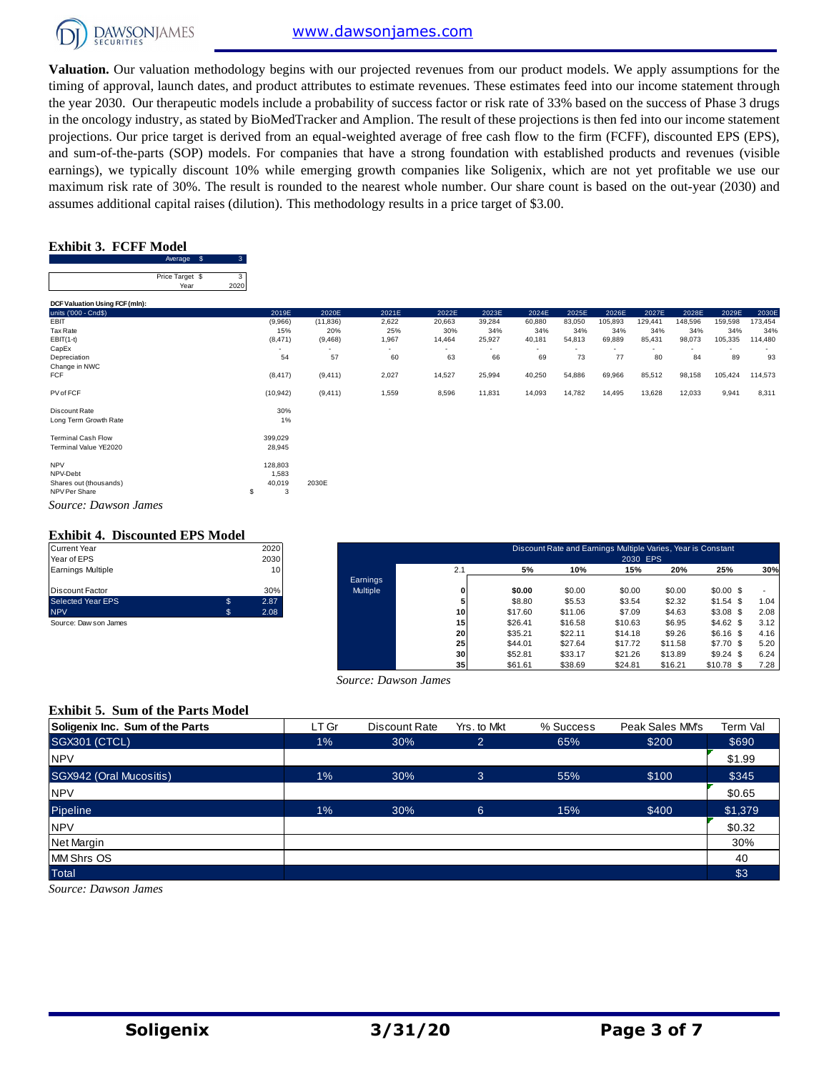

**Valuation.** Our valuation methodology begins with our projected revenues from our product models. We apply assumptions for the timing of approval, launch dates, and product attributes to estimate revenues. These estimates feed into our income statement through the year 2030. Our therapeutic models include a probability of success factor or risk rate of 33% based on the success of Phase 3 drugs in the oncology industry, as stated by BioMedTracker and Amplion. The result of these projections is then fed into our income statement projections. Our price target is derived from an equal-weighted average of free cash flow to the firm (FCFF), discounted EPS (EPS), and sum-of-the-parts (SOP) models. For companies that have a strong foundation with established products and revenues (visible earnings), we typically discount 10% while emerging growth companies like Soligenix, which are not yet profitable we use our maximum risk rate of 30%. The result is rounded to the nearest whole number. Our share count is based on the out-year (2030) and assumes additional capital raises (dilution). This methodology results in a price target of \$3.00.

#### **Exhibit 3. FCFF Model**

|                                | \$<br>Average   | 3 |
|--------------------------------|-----------------|---|
|                                |                 |   |
|                                | Price Target \$ | 3 |
|                                | Year            |   |
|                                |                 |   |
| DCF Valuation Using FCF (mln): |                 |   |
| units ('000 - Cnd\$)           |                 |   |
|                                |                 |   |

| <b>TEdi</b>                    | ZUZU                     |           |        |        |                          |        |        |         |                |         |         |         |
|--------------------------------|--------------------------|-----------|--------|--------|--------------------------|--------|--------|---------|----------------|---------|---------|---------|
| DCF Valuation Using FCF (mln): |                          |           |        |        |                          |        |        |         |                |         |         |         |
| units ('000 - Cnd\$)           | 2019E                    | 2020E     | 2021E  | 2022E  | 2023E                    | 2024E  | 2025E  | 2026E   | 2027E          | 2028E   | 2029E   | 2030E   |
| EBIT                           | (9,966)                  | (11, 836) | 2,622  | 20,663 | 39,284                   | 60,880 | 83,050 | 105,893 | 129,441        | 148,596 | 159,598 | 173,454 |
| Tax Rate                       | 15%                      | 20%       | 25%    | 30%    | 34%                      | 34%    | 34%    | 34%     | 34%            | 34%     | 34%     | 34%     |
| $EBIT(1-t)$                    | (8, 471)                 | (9,468)   | 1,967  | 14,464 | 25,927                   | 40,181 | 54,813 | 69,889  | 85,431         | 98,073  | 105,335 | 114,480 |
| CapEx                          | $\overline{\phantom{a}}$ |           | $\sim$ | ٠      | $\overline{\phantom{a}}$ | $\sim$ |        |         | $\blacksquare$ |         |         |         |
| Depreciation                   | 54                       | 57        | 60     | 63     | 66                       | 69     | 73     | 77      | 80             | 84      | 89      | 93      |
| Change in NWC                  |                          |           |        |        |                          |        |        |         |                |         |         |         |
| FCF                            | (8, 417)                 | (9, 411)  | 2,027  | 14,527 | 25,994                   | 40,250 | 54,886 | 69,966  | 85,512         | 98,158  | 105,424 | 114,573 |
| PV of FCF                      | (10, 942)                | (9, 411)  | 1,559  | 8,596  | 11,831                   | 14,093 | 14,782 | 14,495  | 13,628         | 12,033  | 9,941   | 8,311   |
| Discount Rate                  | 30%                      |           |        |        |                          |        |        |         |                |         |         |         |
| Long Term Growth Rate          | 1%                       |           |        |        |                          |        |        |         |                |         |         |         |
| <b>Terminal Cash Flow</b>      | 399,029                  |           |        |        |                          |        |        |         |                |         |         |         |
| Terminal Value YE2020          | 28,945                   |           |        |        |                          |        |        |         |                |         |         |         |
| <b>NPV</b>                     | 128,803                  |           |        |        |                          |        |        |         |                |         |         |         |
| NPV-Debt                       | 1,583                    |           |        |        |                          |        |        |         |                |         |         |         |
| Shares out (thousands)         | 40,019                   | 2030E     |        |        |                          |        |        |         |                |         |         |         |
| NPV Per Share                  | \$<br>3                  |           |        |        |                          |        |        |         |                |         |         |         |
| Source: Dawson James           |                          |           |        |        |                          |        |        |         |                |         |         |         |

#### **Exhibit 4. Discounted EPS Model**

| <b>Current Year</b>      |    | 2020 |
|--------------------------|----|------|
| Year of EPS              |    | 2030 |
| Earnings Multiple        |    | 10   |
|                          |    |      |
| Discount Factor          |    | 30%  |
| <b>Selected Year EPS</b> | S  | 2.87 |
| <b>NPV</b>               | \$ | 2.08 |
| Source: Daw son James    |    |      |

| Current Year          |    | 2020 |                 |                 |         | Discount Rate and Earnings Multiple Varies, Year is Constant |          |         |             |      |
|-----------------------|----|------|-----------------|-----------------|---------|--------------------------------------------------------------|----------|---------|-------------|------|
| Year of EPS           |    | 2030 |                 |                 |         |                                                              | 2030 EPS |         |             |      |
| Earnings Multiple     |    | 10   |                 | 2.1             | 5%      | 10%                                                          | 15%      | 20%     | 25%         | 30%  |
|                       |    |      | Earnings        |                 |         |                                                              |          |         |             |      |
| Discount Factor       |    | 30%  | <b>Multiple</b> | 0               | \$0.00  | \$0.00                                                       | \$0.00   | \$0.00  | $$0.00$ \$  |      |
| Selected Year EPS     |    | 2.87 |                 | 5               | \$8.80  | \$5.53                                                       | \$3.54   | \$2.32  | $$1.54$ \$  | 1.04 |
| <b>NPV</b>            | S. | 2.08 |                 | 10 <sup>1</sup> | \$17.60 | \$11.06                                                      | \$7.09   | \$4.63  | $$3.08$ \$  | 2.08 |
| Source: Daw son James |    |      |                 | 15              | \$26.41 | \$16.58                                                      | \$10.63  | \$6.95  | \$4.62\$    | 3.12 |
|                       |    |      |                 | 20              | \$35.21 | \$22.11                                                      | \$14.18  | \$9.26  | $$6.16$ \$  | 4.16 |
|                       |    |      |                 | 25 <sub>1</sub> | \$44.01 | \$27.64                                                      | \$17.72  | \$11.58 | $$7.70$ \$  | 5.20 |
|                       |    |      |                 | 30 <sup>1</sup> | \$52.81 | \$33.17                                                      | \$21.26  | \$13.89 | $$9.24$ \$  | 6.24 |
|                       |    |      |                 | 35 <sub>1</sub> | \$61.61 | \$38.69                                                      | \$24.81  | \$16.21 | $$10.78$ \$ | 7.28 |

#### **Exhibit 5. Sum of the Parts Model**

| Source: Dawson James                     |       |               |                |           |                 |          |  |  |  |  |  |  |
|------------------------------------------|-------|---------------|----------------|-----------|-----------------|----------|--|--|--|--|--|--|
| <b>Exhibit 5. Sum of the Parts Model</b> |       |               |                |           |                 |          |  |  |  |  |  |  |
| Soligenix Inc. Sum of the Parts          | LT Gr | Discount Rate | Yrs. to Mkt    | % Success | Peak Sales MM's | Term Val |  |  |  |  |  |  |
| <b>SGX301 (CTCL)</b>                     | $1\%$ | 30%           | $\overline{2}$ | 65%       | \$200           | \$690    |  |  |  |  |  |  |
| <b>NPV</b>                               |       |               |                |           |                 | \$1.99   |  |  |  |  |  |  |
| SGX942 (Oral Mucositis)                  | $1\%$ | 30%           | 3              | 55%       | \$100           | \$345    |  |  |  |  |  |  |
| <b>NPV</b>                               |       |               |                |           |                 | \$0.65   |  |  |  |  |  |  |
| Pipeline                                 | 1%    | 30%           | 6              | 15%       | \$400           | \$1,379  |  |  |  |  |  |  |
| <b>NPV</b>                               |       |               |                |           |                 | \$0.32   |  |  |  |  |  |  |
| Net Margin                               |       |               |                |           |                 | 30%      |  |  |  |  |  |  |
| <b>MM Shrs OS</b>                        |       |               |                |           |                 | 40       |  |  |  |  |  |  |
| Total                                    |       |               |                |           |                 | \$3      |  |  |  |  |  |  |
| Source: Dawson James                     |       |               |                |           |                 |          |  |  |  |  |  |  |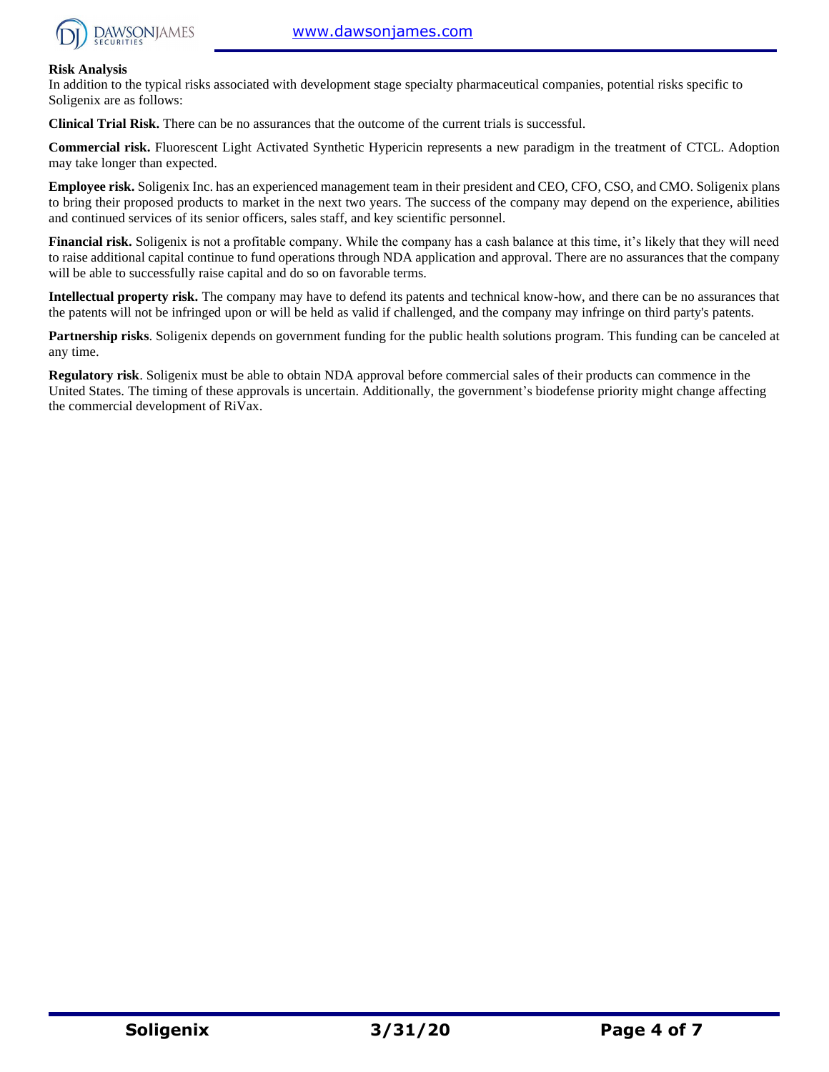

#### **Risk Analysis**

In addition to the typical risks associated with development stage specialty pharmaceutical companies, potential risks specific to Soligenix are as follows:

**Clinical Trial Risk.** There can be no assurances that the outcome of the current trials is successful.

**Commercial risk.** Fluorescent Light Activated Synthetic Hypericin represents a new paradigm in the treatment of CTCL. Adoption may take longer than expected.

**Employee risk.** Soligenix Inc. has an experienced management team in their president and CEO, CFO, CSO, and CMO. Soligenix plans to bring their proposed products to market in the next two years. The success of the company may depend on the experience, abilities and continued services of its senior officers, sales staff, and key scientific personnel.

**Financial risk.** Soligenix is not a profitable company. While the company has a cash balance at this time, it's likely that they will need to raise additional capital continue to fund operations through NDA application and approval. There are no assurances that the company will be able to successfully raise capital and do so on favorable terms.

**Intellectual property risk.** The company may have to defend its patents and technical know-how, and there can be no assurances that the patents will not be infringed upon or will be held as valid if challenged, and the company may infringe on third party's patents.

**Partnership risks**. Soligenix depends on government funding for the public health solutions program. This funding can be canceled at any time.

**Regulatory risk**. Soligenix must be able to obtain NDA approval before commercial sales of their products can commence in the United States. The timing of these approvals is uncertain. Additionally, the government's biodefense priority might change affecting the commercial development of RiVax.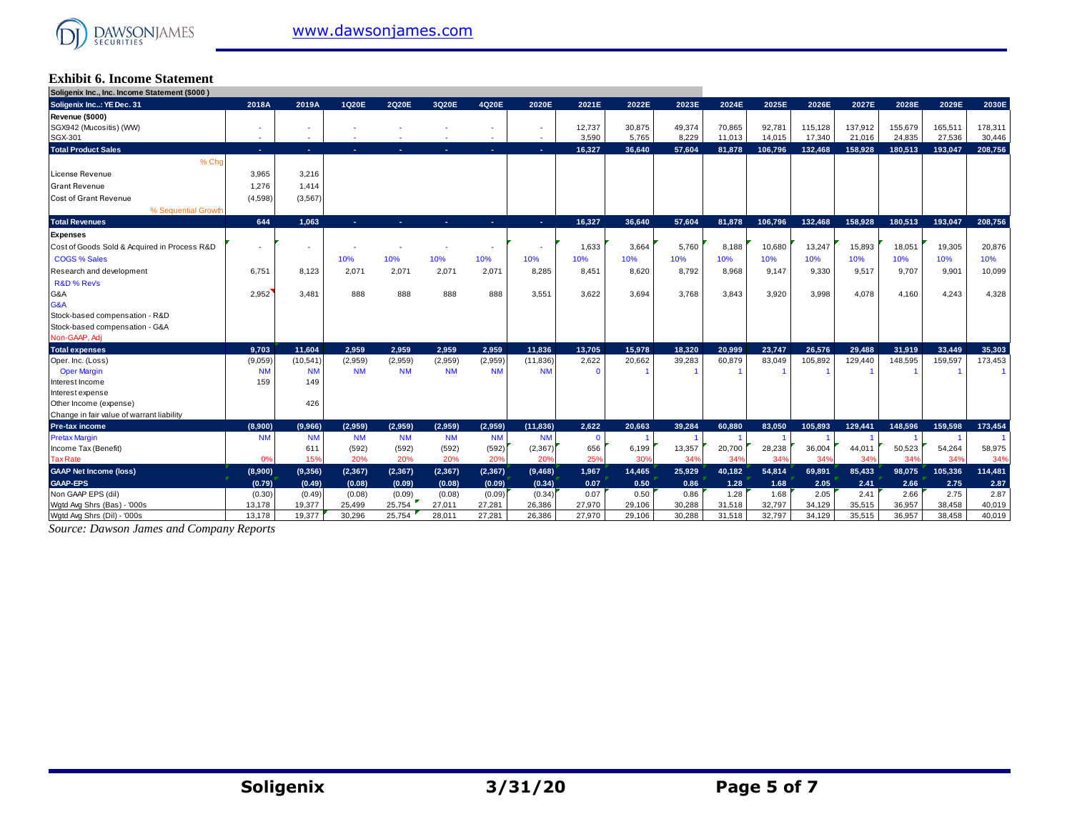

#### **Exhibit 6. Income Statement Soligenix Inc., Inc. Income Statement (\$000 )**

| <b>Jongering Inc., Inc. Income Statement (\$000)</b> |                          |                          |           |           |                |                          |                          |          |        |        |        |         |         |         |         |         |         |
|------------------------------------------------------|--------------------------|--------------------------|-----------|-----------|----------------|--------------------------|--------------------------|----------|--------|--------|--------|---------|---------|---------|---------|---------|---------|
| Soligenix Inc: YE Dec. 31                            | 2018A                    | 2019A                    | 1Q20E     | 2Q20E     | 3Q20E          | 4Q20E                    | 2020E                    | 2021E    | 2022E  | 2023E  | 2024E  | 2025E   | 2026E   | 2027E   | 2028E   | 2029E   | 2030E   |
| Revenue (\$000)                                      |                          |                          |           |           |                |                          |                          |          |        |        |        |         |         |         |         |         |         |
| SGX942 (Mucositis) (WW)                              | $\overline{\phantom{a}}$ | $\overline{\phantom{a}}$ |           |           |                | $\overline{\phantom{a}}$ | $\overline{\phantom{a}}$ | 12,737   | 30,875 | 49,374 | 70,865 | 92,781  | 115,128 | 137,912 | 155,679 | 165,511 | 178,311 |
| SGX-301                                              | $\sim$                   | ٠                        |           |           |                | $\sim$                   | $\sim$                   | 3.590    | 5.765  | 8.229  | 11.013 | 14.015  | 17.340  | 21.016  | 24,835  | 27.536  | 30,446  |
| <b>Total Product Sales</b>                           | ne.                      | A.                       | н.        |           | ч.             | <b>COL</b>               | A.                       | 16,327   | 36.640 | 57,604 | 81,878 | 106,796 | 132.468 | 158.928 | 180,513 | 193,047 | 208,756 |
| % Cho                                                |                          |                          |           |           |                |                          |                          |          |        |        |        |         |         |         |         |         |         |
| License Revenue                                      | 3,965                    | 3,216                    |           |           |                |                          |                          |          |        |        |        |         |         |         |         |         |         |
| <b>Grant Revenue</b>                                 | 1,276                    | 1,414                    |           |           |                |                          |                          |          |        |        |        |         |         |         |         |         |         |
| <b>Cost of Grant Revenue</b>                         | (4,598)                  | (3, 567)                 |           |           |                |                          |                          |          |        |        |        |         |         |         |         |         |         |
| % Sequential Growth                                  |                          |                          |           |           |                |                          |                          |          |        |        |        |         |         |         |         |         |         |
| <b>Total Revenues</b>                                | 644                      | 1,063                    | A.        | and the   | <b>Section</b> | ×.                       | A.                       | 16,327   | 36,640 | 57,604 | 81,878 | 106,796 | 132,468 | 158,928 | 180,513 | 193,047 | 208,756 |
| <b>Expenses</b>                                      |                          |                          |           |           |                |                          |                          |          |        |        |        |         |         |         |         |         |         |
| Cost of Goods Sold & Acquired in Process R&D         | ٠                        | ×.                       |           |           |                | $\overline{\phantom{a}}$ |                          | 1,633    | 3,664  | 5,760  | 8,188  | 10,680  | 13,247  | 15,893  | 18,051  | 19,305  | 20,876  |
| <b>COGS % Sales</b>                                  |                          |                          | 10%       | 10%       | 10%            | 10%                      | 10%                      | 10%      | 10%    | 10%    | 10%    | 10%     | 10%     | 10%     | 10%     | 10%     | 10%     |
| Research and development                             | 6,751                    | 8.123                    | 2.071     | 2.071     | 2,071          | 2,071                    | 8,285                    | 8.451    | 8.620  | 8.792  | 8.968  | 9,147   | 9.330   | 9.517   | 9,707   | 9.901   | 10,099  |
| R&D % Rev's                                          |                          |                          |           |           |                |                          |                          |          |        |        |        |         |         |         |         |         |         |
| G&A                                                  | 2,952                    | 3,481                    | 888       | 888       | 888            | 888                      | 3,551                    | 3,622    | 3.694  | 3.768  | 3.843  | 3,920   | 3.998   | 4.078   | 4,160   | 4,243   | 4,328   |
| G&A                                                  |                          |                          |           |           |                |                          |                          |          |        |        |        |         |         |         |         |         |         |
| Stock-based compensation - R&D                       |                          |                          |           |           |                |                          |                          |          |        |        |        |         |         |         |         |         |         |
| Stock-based compensation - G&A                       |                          |                          |           |           |                |                          |                          |          |        |        |        |         |         |         |         |         |         |
| Non-GAAP, Adj                                        |                          |                          |           |           |                |                          |                          |          |        |        |        |         |         |         |         |         |         |
| <b>Total expenses</b>                                | 9.703                    | 11.604                   | 2.959     | 2.959     | 2.959          | 2.959                    | 11.836                   | 13,705   | 15.978 | 18.320 | 20.999 | 23.747  | 26.576  | 29.488  | 31.919  | 33.449  | 35.303  |
| Oper. Inc. (Loss)                                    | (9,059)                  | (10, 541)                | (2,959)   | (2,959)   | (2,959)        | (2,959)                  | (11, 836)                | 2,622    | 20,662 | 39,283 | 60,879 | 83,049  | 105,892 | 129,440 | 148,595 | 159,597 | 173,453 |
| <b>Oper Margin</b>                                   | <b>NM</b>                | <b>NM</b>                | <b>NM</b> | <b>NM</b> | <b>NM</b>      | <b>NM</b>                | <b>NM</b>                | $\Omega$ |        |        |        |         |         |         |         |         |         |
| Interest Income                                      | 159                      | 149                      |           |           |                |                          |                          |          |        |        |        |         |         |         |         |         |         |
| Interest expense                                     |                          |                          |           |           |                |                          |                          |          |        |        |        |         |         |         |         |         |         |
| Other Income (expense)                               |                          | 426                      |           |           |                |                          |                          |          |        |        |        |         |         |         |         |         |         |
| Change in fair value of warrant liability            |                          |                          |           |           |                |                          |                          |          |        |        |        |         |         |         |         |         |         |
| <b>Pre-tax income</b>                                | (8.900)                  | (9,966)                  | (2.959)   | (2.959)   | (2.959)        | (2.959)                  | (11.836)                 | 2.622    | 20.663 | 39.284 | 60.880 | 83.050  | 105.893 | 129.441 | 148.596 | 159.598 | 173,454 |
| <b>Pretax Margin</b>                                 | <b>NM</b>                | <b>NM</b>                | <b>NM</b> | <b>NM</b> | <b>NM</b>      | <b>NM</b>                | <b>NM</b>                | $\Omega$ |        |        |        |         |         |         |         |         |         |
| Income Tax (Benefit)                                 |                          | 611                      | (592)     | (592)     | (592)          | (592)                    | (2, 367)                 | 656      | 6,199  | 13,357 | 20,700 | 28,238  | 36,004  | 44,011  | 50,523  | 54,264  | 58,975  |
| <b>Tax Rate</b>                                      | 0%                       | 15%                      | 20%       | 20%       | 20%            | 20%                      | 20%                      | 25%      | 30%    | 34%    | 349    | 34%     | 34%     | 34%     | 34%     | 34%     | 34%     |
| <b>GAAP Net Income (loss)</b>                        | (8,900)                  | (9,356)                  | (2, 367)  | (2, 367)  | (2, 367)       | (2, 367)                 | (9, 468)                 | 1,967    | 14,465 | 25,929 | 40,182 | 54,814  | 69,891  | 85,433  | 98,075  | 105,336 | 114,481 |
| <b>GAAP-EPS</b>                                      | (0.79)                   | (0.49)                   | (0.08)    | (0.09)    | (0.08)         | (0.09)                   | (0.34)                   | 0.07     | 0.50   | 0.86   | 1.28   | 1.68    | 2.05    | 2.41    | 2.66    | 2.75    | 2.87    |
| Non GAAP EPS (dil)                                   | (0.30)                   | (0.49)                   | (0.08)    | (0.09)    | (0.08)         | (0.09)                   | (0.34)                   | 0.07     | 0.50   | 0.86   | 1.28   | 1.68    | 2.05    | 2.41    | 2.66    | 2.75    | 2.87    |
| Wotd Avg Shrs (Bas) - '000s                          | 13,178                   | 19,377                   | 25,499    | 25,754    | 27,011         | 27,281                   | 26,386                   | 27,970   | 29,106 | 30,288 | 31,518 | 32,797  | 34,129  | 35,515  | 36,957  | 38,458  | 40,019  |
| Watd Ava Shrs (Dil) - '000s                          | 13.178                   | 19.377                   | 30.296    | 25.754    | 28.011         | 27.281                   | 26.386                   | 27.970   | 29.106 | 30.288 | 31.518 | 32.797  | 34.129  | 35.515  | 36.957  | 38.458  | 40.019  |

*Source: Dawson James and Company Reports*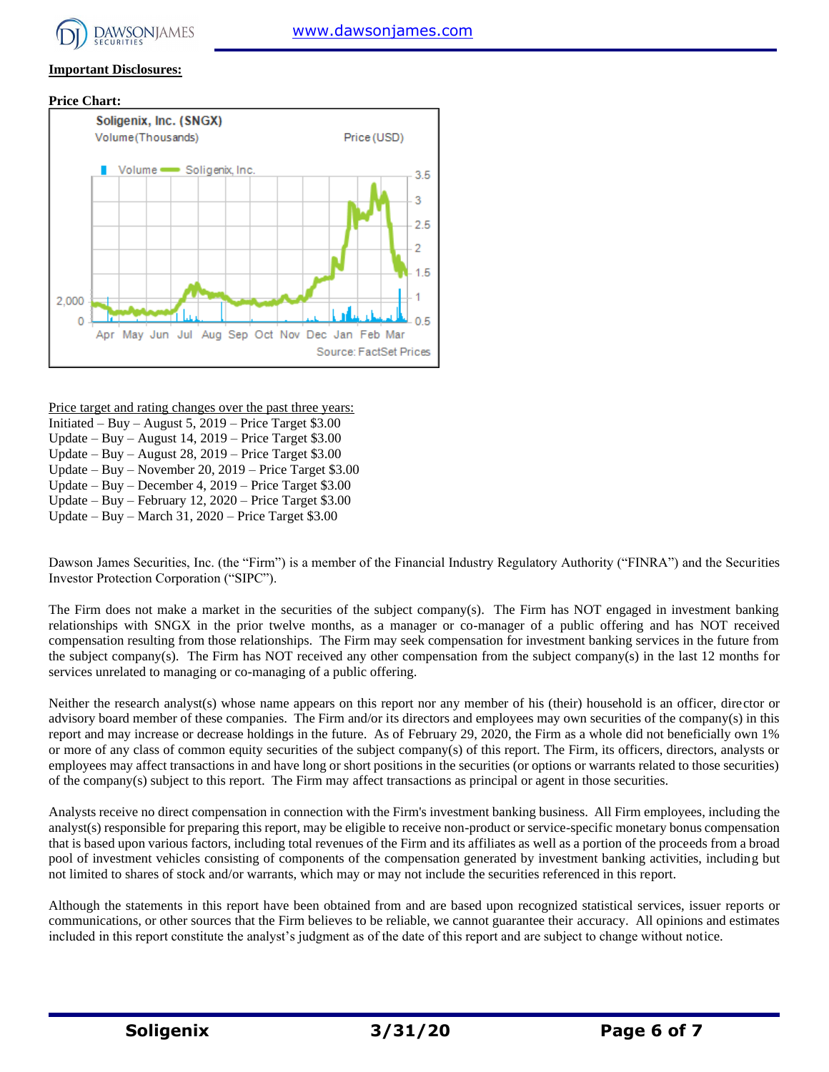

#### **Important Disclosures:**





Price target and rating changes over the past three years:

- Initiated Buy August 5, 2019 Price Target \$3.00
- Update Buy August 14, 2019 Price Target \$3.00
- Update Buy August 28, 2019 Price Target \$3.00 Update – Buy – November 20, 2019 – Price Target \$3.00
- Update Buy December 4, 2019 Price Target \$3.00
- 
- Update Buy February 12, 2020 Price Target \$3.00 Update – Buy – March 31, 2020 – Price Target \$3.00

Dawson James Securities, Inc. (the "Firm") is a member of the Financial Industry Regulatory Authority ("FINRA") and the Securities Investor Protection Corporation ("SIPC").

The Firm does not make a market in the securities of the subject company(s). The Firm has NOT engaged in investment banking relationships with SNGX in the prior twelve months, as a manager or co-manager of a public offering and has NOT received compensation resulting from those relationships. The Firm may seek compensation for investment banking services in the future from the subject company(s). The Firm has NOT received any other compensation from the subject company(s) in the last 12 months for services unrelated to managing or co-managing of a public offering.

Neither the research analyst(s) whose name appears on this report nor any member of his (their) household is an officer, director or advisory board member of these companies. The Firm and/or its directors and employees may own securities of the company(s) in this report and may increase or decrease holdings in the future. As of February 29, 2020, the Firm as a whole did not beneficially own 1% or more of any class of common equity securities of the subject company(s) of this report. The Firm, its officers, directors, analysts or employees may affect transactions in and have long or short positions in the securities (or options or warrants related to those securities) of the company(s) subject to this report. The Firm may affect transactions as principal or agent in those securities.

Analysts receive no direct compensation in connection with the Firm's investment banking business. All Firm employees, including the analyst(s) responsible for preparing this report, may be eligible to receive non-product or service-specific monetary bonus compensation that is based upon various factors, including total revenues of the Firm and its affiliates as well as a portion of the proceeds from a broad pool of investment vehicles consisting of components of the compensation generated by investment banking activities, including but not limited to shares of stock and/or warrants, which may or may not include the securities referenced in this report.

Although the statements in this report have been obtained from and are based upon recognized statistical services, issuer reports or communications, or other sources that the Firm believes to be reliable, we cannot guarantee their accuracy. All opinions and estimates included in this report constitute the analyst's judgment as of the date of this report and are subject to change without notice.